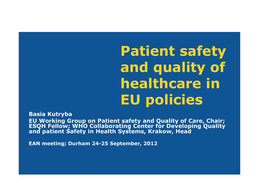**Patient safety and quality of healthcare in EU policies**

**Basia Kutryba EU Working Group on Patient safety and Quality of Care, Chair; ESQH Fellow; WHO Collaborating Center for Developing Quality and patient Safety in Health Systems, Krakow, Head**

**EAN meeting; Durham 24-25 September, 2012**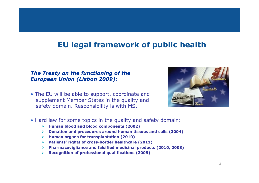#### **EU legal framework of public health**

#### *The Treaty on the functioning of the European Union (Lisbon 2009):*

• The EU will be able to support, coordinate and supplement Member States in the quality and safety domain. Responsibility is with MS.



- Hard law for some topics in the quality and safety domain:
	- **Human blood and blood components (2002)**
	- **Donation and procedures around human tissues and cells (2004)**
	- **Human organs for transplantation (2010)**
	- **Patients' rights of cross-border healthcare (2011)**
	- **Pharmacovigliance and falsified medicinal products (2010, 2008)**
	- **Recognition of professional qualifications (2005)**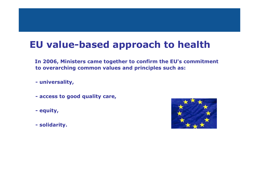#### **EU value-based approach to health**

**In 2006, Ministers came together to confirm the EU's commitment to overarching common values and principles such as:**

• **- universality,**

- **- access to good quality care,**
- **- equity,**
- **- solidarity.**

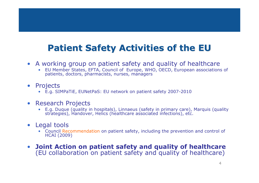#### **Patient Safety Activities of the EU**

- A working group on patient safety and quality of healthcare
	- EU Member States, EFTA, Council of Europe, WHO, OECD, European associations of patients, doctors, pharmacists, nurses, managers
- Projects
	- E.g. SIMPaTiE, EUNetPaS: EU network on patient safety 2007-2010
- Research Projects
	- E.g. Duque (quality in hospitals), Linnaeus (safety in primary care), Marquis (quality strategies), Handover, Helics (healthcare associated infections), etc.
- Legal tools
	- Council Recommendation on patient safety, including the prevention and control of HCAI (2009)
- **Joint Action on patient safety and quality of healthcare**  (EU collaboration on patient safety and quality of healthcare)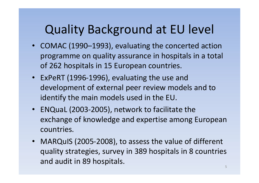# Quality Background at EU level

- COMAC (1990–1993), evaluating the concerted action programme on quality assurance in hospitals in a total of 262 hospitals in 15 European countries.
- ExPeRT (1996-1996), evaluating the use and development of external peer review models and to identify the main models used in the EU.
- ENQuaL (2003-2005), network to facilitate the exchange of knowledge and expertise among European countries.
- MARQuIS (2005-2008), to assess the value of different quality strategies, survey in 389 hospitals in 8 countries and audit in 89 hospitals.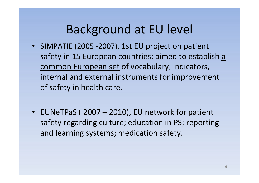# Background at EU level

- SIMPATIE (2005 -2007), 1st EU project on patient safety in 15 European countries; aimed to establish a common European set of vocabulary, indicators, internal and external instruments for improvement of safety in health care.
- EUNeTPaS ( 2007 2010), EU network for patient safety regarding culture; education in PS; reporting and learning systems; medication safety.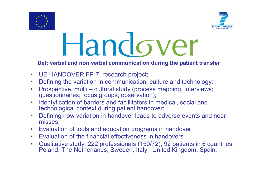



# Handover

#### **Def: verbal and non verbal communication during the patient transfer**

- UE HANDOVER FP-7, research project;
- Defining the variation in communication, culture and technology;
- Prospective, multi cultural study (process mapping, interviews; questionnaires; focus groups; observation);
- Identyfication of barriers and facillitators in medical, social and technological context during patient handover;
- Defining how variation in handover leads to adverse events and near misses;
- Evaluation of tools and education programs in handover;
- Evaluation of the financial effectiveness in handovers
- Qualitative study: 222 professionals (150/72); 92 patients in 6 countries: Poland, The Netherlands, Sweden, Italy, United Kingdom, Spain.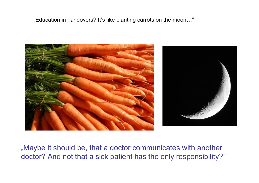"Education in handovers? It's like planting carrots on the moon…"



"Maybe it should be, that a doctor communicates with another doctor? And not that a sick patient has the only responsibility?"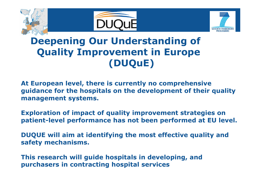





## **Deepening Our Understanding of Quality Improvement in Europe (DUQuE)**

**At European level, there is currently no comprehensive guidance for the hospitals on the development of their quality management systems.**

**Exploration of impact of quality improvement strategies on patient-level performance has not been performed at EU level.**

**DUQUE will aim at identifying the most effective quality and safety mechanisms.** 

**This research will guide hospitals in developing, and purchasers in contracting hospital services**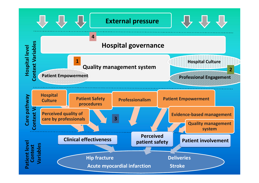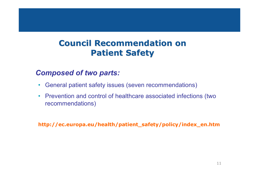#### **Council Recommendation on Patient Safety**

#### • *Composed of two parts:*

- General patient safety issues (seven recommendations)
- Prevention and control of healthcare associated infections (two recommendations)

**http://ec.europa.eu/health/patient\_safety/policy/index\_en.htm**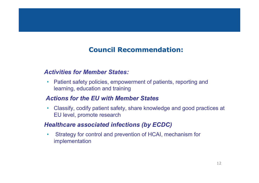#### **Council Recommendation:**

#### • *Activities for Member States:*

• Patient safety policies, empowerment of patients, reporting and learning, education and training

#### • *Actions for the EU with Member States*

• Classify, codify patient safety, share knowledge and good practices at EU level, promote research

#### • *Healthcare associated infections (by ECDC)*

• Strategy for control and prevention of HCAI, mechanism for implementation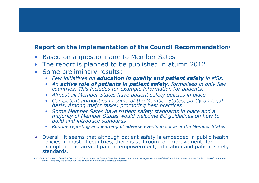#### **Report on the implementation of the Council Recommendation<sup>1</sup>**

- Based on a questionnaire to Member Sates
- The report is planned to be published in atumn 2012
- Some preliminary results:
	- *Few initiatives on education in quality and patient safety in MSs.*
	- *An active role of patients in patient safety, formalised in only few countries. This includes for example information for patients.*
	- *Almost all Member States have patient safety policies in place*
	- *Competent authorities in some of the Member States, partly on legal basis. Among major tasks: promoting best practices*
	- *Some Member Sates have patient safety standards in place and a majority of Member States would welcome EU guidelines on how to build and introduce standards*
	- *Routine reporting and learning of adverse events in some of the Member States.*
- $\triangleright$  Overall: it seems that although patient safety is embedded in public health policies in most of countries, there is still room for improvement, for example in the area of patient empowerment, education and patient safety standards.

<sup>1</sup>*REPORT FROM THE COMMISSION TO THE COUNCIL on the basis of Member States' reports on the implementation of the Council Recommendation (2009/C 151/01) on patient safety, including the prevention and control of healthcare associated infections*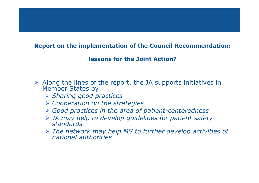#### **Report on the implementation of the Council Recommendation:**

#### **lessons for the Joint Action?**

- $\triangleright$  Along the lines of the report, the JA supports initiatives in Member States by:
	- *Sharing good practices*
	- *Cooperation on the strategies*
	- *Good practices in the area of patient-centeredness*
	- *JA may help to develop guidelines for patient safety standards*
	- *The network may help MS to further develop activities of national authorities*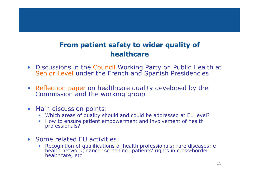#### **From patient safety to wider quality of healthcare**

- Discussions in the Council Working Party on Public Health at Senior Level under the French and Spanish Presidencies
- Reflection paper on healthcare quality developed by the Commission and the working group
- Main discussion points:
	- Which areas of quality should and could be addressed at EU level?
	- How to ensure patient empowerment and involvement of health professionals?
- Some related EU activities:
	- Recognition of qualifications of health professionals; rare diseases; ehealth network; cancer screening; patients' rights in cross-border healthcare, etc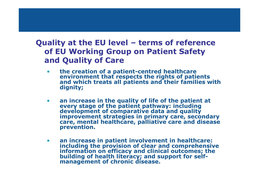#### **Quality at the EU level – terms of reference of EU Working Group on Patient Safety and Quality of Care**

- **the creation of a patient-centred healthcare environment that respects the rights of patients and which treats all patients and their families with dignity;**
- **an increase in the quality of life of the patient at every stage of the patient pathway: including development of comparative data and quality improvement strategies in primary care, secondary care, mental healthcare, palliative care and disease prevention.**
- **an increase in patient involvement in healthcare: including the provision of clear and comprehensive information on efficacy and clinical outcomes; the building of health literacy; and support for selfmanagement of chronic disease.**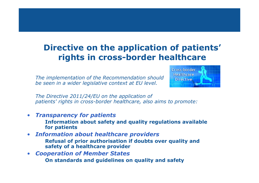#### **Directive on the application of patients' rights in cross-border healthcare**

• *The implementation of the Recommendation should be seen in a wider legislative context at EU level.* 



• *The Directive 2011/24/EU on the application of patients' rights in cross-border healthcare, also aims to promote:*

- *Transparency for patients*
	- **Information about safety and quality regulations available for patients**
- *Information about healthcare providers*
	- **Refusal of prior authorisation if doubts over quality and safety of a healthcare provider**
- *Cooperation of Member States*
	- **On standards and guidelines on quality and safety**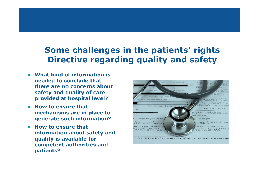#### **Some challenges in the patients' rights Directive regarding quality and safety**

- **What kind of information is needed to conclude that there are no concerns about safety and quality of care provided at hospital level?**
- **How to ensure that mechanisms are in place to generate such information?**
- **How to ensure that information about safety and quality is available for competent authorities and patients?**

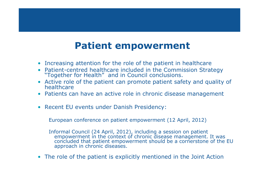#### **Patient empowerment**

- Increasing attention for the role of the patient in healthcare
- Patient-centred healthcare included in the Commission Strategy "Together for Health" and in Council conclusions.
- Active role of the patient can promote patient safety and quality of healthcare
- Patients can have an active role in chronic disease management
- Recent EU events under Danish Presidency:

European conference on patient empowerment (12 April, 2012)

Informal Council (24 April, 2012), including a session on patient empowerment in the context of chronic disease management. It was concluded that patient empowerment should be a cornerstone of the EU approach in chronic diseases.

• The role of the patient is explicitly mentioned in the Joint Action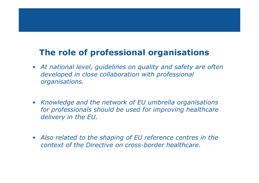#### **The role of professional organisations**

- *At national level, guidelines on quality and safety are often developed in close collaboration with professional organisations.*
- *Knowledge and the network of EU umbrella organisations for professionals should be used for improving healthcare delivery in the EU.*
- *Also related to the shaping of EU reference centres in the context of the Directive on cross-border healthcare.*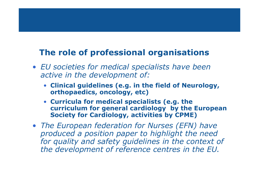#### **The role of professional organisations**

- *EU societies for medical specialists have been active in the development of:*
	- **Clinical guidelines (e.g. in the field of Neurology, orthopaedics, oncology, etc)**
	- **Curricula for medical specialists (e.g. the curriculum for general cardiology by the European Society for Cardiology, activities by CPME)**
- *The European federation for Nurses (EFN) have produced a position paper to highlight the need*  for quality and safety guidelines in the context of *the development of reference centres in the EU.*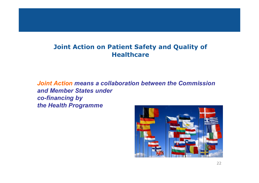#### **Joint Action on Patient Safety and Quality of Healthcare**

*Joint Action means a collaboration between the Commission and Member States under co-financing by the Health Programme*

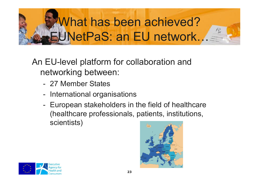# What has been achieved? EUNetPaS: an EU network…

An EU-level platform for collaboration and networking between:

- 27 Member States
- International organisations
- European stakeholders in the field of healthcare (healthcare professionals, patients, institutions, scientists)



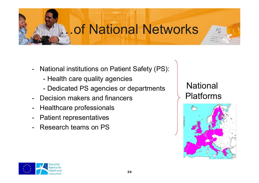# …of National Networks

- National institutions on Patient Safety (PS):
	- Health care quality agencies
	- Dedicated PS agencies or departments
- Decision makers and financers
- Healthcare professionals
- Patient representatives
- Research teams on PS

#### **National** Platforms



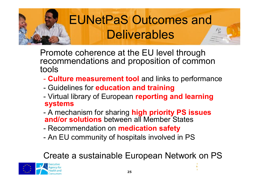

# EUNetPaS Outcomes and Deliverables

Promote coherence at the EU level through recommendations and proposition of common tools

- **Culture measurement tool** and links to performance
- Guidelines for **education and training**
- Virtual library of European **reporting and learning systems**
- A mechanism for sharing **high priority PS issues and/or solutions** between all Member States
- Recommendation on **medication safety**
- An EU community of hospitals involved in PS

### Create a sustainable European Network on PS

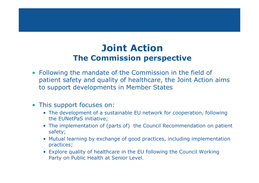#### **Joint Action The Commission perspective**

- Following the mandate of the Commission in the field of patient safety and quality of healthcare, the Joint Action aims to support developments in Member States
- This support focuses on:
	- The development of a sustainable EU network for cooperation, following the EUNetPaS initiative;
	- The implementation of (parts of) the Council Recommendation on patient safety;
	- Mutual learning by exchange of good practices, including implementation practices;
	- Explore quality of healthcare in the EU following the Council Working Party on Public Health at Senior Level.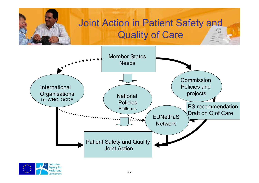